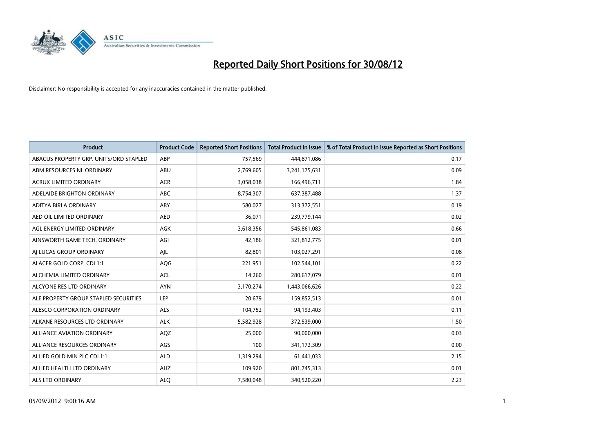

| <b>Product</b>                         | <b>Product Code</b> | <b>Reported Short Positions</b> | <b>Total Product in Issue</b> | % of Total Product in Issue Reported as Short Positions |
|----------------------------------------|---------------------|---------------------------------|-------------------------------|---------------------------------------------------------|
| ABACUS PROPERTY GRP. UNITS/ORD STAPLED | ABP                 | 757,569                         | 444,871,086                   | 0.17                                                    |
| ABM RESOURCES NL ORDINARY              | ABU                 | 2,769,605                       | 3,241,175,631                 | 0.09                                                    |
| <b>ACRUX LIMITED ORDINARY</b>          | <b>ACR</b>          | 3,058,038                       | 166,496,711                   | 1.84                                                    |
| ADELAIDE BRIGHTON ORDINARY             | <b>ABC</b>          | 8,754,307                       | 637, 387, 488                 | 1.37                                                    |
| ADITYA BIRLA ORDINARY                  | ABY                 | 580.027                         | 313,372,551                   | 0.19                                                    |
| AED OIL LIMITED ORDINARY               | <b>AED</b>          | 36,071                          | 239,779,144                   | 0.02                                                    |
| AGL ENERGY LIMITED ORDINARY            | <b>AGK</b>          | 3,618,356                       | 545,861,083                   | 0.66                                                    |
| AINSWORTH GAME TECH. ORDINARY          | AGI                 | 42,186                          | 321,812,775                   | 0.01                                                    |
| AI LUCAS GROUP ORDINARY                | AJL                 | 82,801                          | 103,027,291                   | 0.08                                                    |
| ALACER GOLD CORP. CDI 1:1              | AQG                 | 221,951                         | 102,544,101                   | 0.22                                                    |
| ALCHEMIA LIMITED ORDINARY              | <b>ACL</b>          | 14,260                          | 280,617,079                   | 0.01                                                    |
| ALCYONE RES LTD ORDINARY               | <b>AYN</b>          | 3,170,274                       | 1,443,066,626                 | 0.22                                                    |
| ALE PROPERTY GROUP STAPLED SECURITIES  | LEP                 | 20,679                          | 159,852,513                   | 0.01                                                    |
| ALESCO CORPORATION ORDINARY            | <b>ALS</b>          | 104,752                         | 94,193,403                    | 0.11                                                    |
| ALKANE RESOURCES LTD ORDINARY          | <b>ALK</b>          | 5,582,928                       | 372,539,000                   | 1.50                                                    |
| ALLIANCE AVIATION ORDINARY             | AQZ                 | 25,000                          | 90,000,000                    | 0.03                                                    |
| ALLIANCE RESOURCES ORDINARY            | AGS                 | 100                             | 341,172,309                   | 0.00                                                    |
| ALLIED GOLD MIN PLC CDI 1:1            | <b>ALD</b>          | 1,319,294                       | 61,441,033                    | 2.15                                                    |
| ALLIED HEALTH LTD ORDINARY             | AHZ                 | 109,920                         | 801,745,313                   | 0.01                                                    |
| <b>ALS LTD ORDINARY</b>                | <b>ALO</b>          | 7,580,048                       | 340.520.220                   | 2.23                                                    |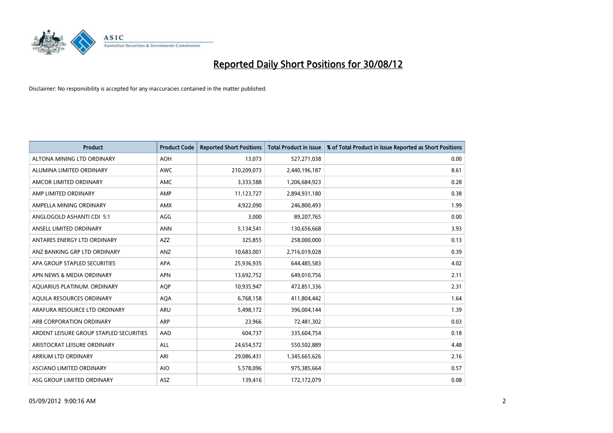

| <b>Product</b>                          | <b>Product Code</b> | <b>Reported Short Positions</b> | <b>Total Product in Issue</b> | % of Total Product in Issue Reported as Short Positions |
|-----------------------------------------|---------------------|---------------------------------|-------------------------------|---------------------------------------------------------|
| ALTONA MINING LTD ORDINARY              | <b>AOH</b>          | 13,073                          | 527,271,038                   | 0.00                                                    |
| ALUMINA LIMITED ORDINARY                | <b>AWC</b>          | 210,209,073                     | 2,440,196,187                 | 8.61                                                    |
| AMCOR LIMITED ORDINARY                  | AMC                 | 3,333,588                       | 1,206,684,923                 | 0.28                                                    |
| AMP LIMITED ORDINARY                    | AMP                 | 11,123,727                      | 2,894,931,180                 | 0.38                                                    |
| AMPELLA MINING ORDINARY                 | AMX                 | 4,922,090                       | 246,800,493                   | 1.99                                                    |
| ANGLOGOLD ASHANTI CDI 5:1               | AGG                 | 3,000                           | 89,207,765                    | 0.00                                                    |
| ANSELL LIMITED ORDINARY                 | <b>ANN</b>          | 5,134,541                       | 130,656,668                   | 3.93                                                    |
| ANTARES ENERGY LTD ORDINARY             | <b>AZZ</b>          | 325,855                         | 258,000,000                   | 0.13                                                    |
| ANZ BANKING GRP LTD ORDINARY            | ANZ                 | 10,683,001                      | 2,716,019,028                 | 0.39                                                    |
| APA GROUP STAPLED SECURITIES            | <b>APA</b>          | 25,936,935                      | 644,485,583                   | 4.02                                                    |
| APN NEWS & MEDIA ORDINARY               | <b>APN</b>          | 13,692,752                      | 649,010,756                   | 2.11                                                    |
| AQUARIUS PLATINUM. ORDINARY             | <b>AOP</b>          | 10,935,947                      | 472,851,336                   | 2.31                                                    |
| AQUILA RESOURCES ORDINARY               | <b>AQA</b>          | 6,768,158                       | 411,804,442                   | 1.64                                                    |
| ARAFURA RESOURCE LTD ORDINARY           | ARU                 | 5,498,172                       | 396,004,144                   | 1.39                                                    |
| ARB CORPORATION ORDINARY                | ARP                 | 23,966                          | 72,481,302                    | 0.03                                                    |
| ARDENT LEISURE GROUP STAPLED SECURITIES | AAD                 | 604,737                         | 335,604,754                   | 0.18                                                    |
| ARISTOCRAT LEISURE ORDINARY             | <b>ALL</b>          | 24,654,572                      | 550,502,889                   | 4.48                                                    |
| <b>ARRIUM LTD ORDINARY</b>              | ARI                 | 29,086,431                      | 1,345,665,626                 | 2.16                                                    |
| <b>ASCIANO LIMITED ORDINARY</b>         | <b>AIO</b>          | 5,578,096                       | 975,385,664                   | 0.57                                                    |
| ASG GROUP LIMITED ORDINARY              | <b>ASZ</b>          | 139,416                         | 172,172,079                   | 0.08                                                    |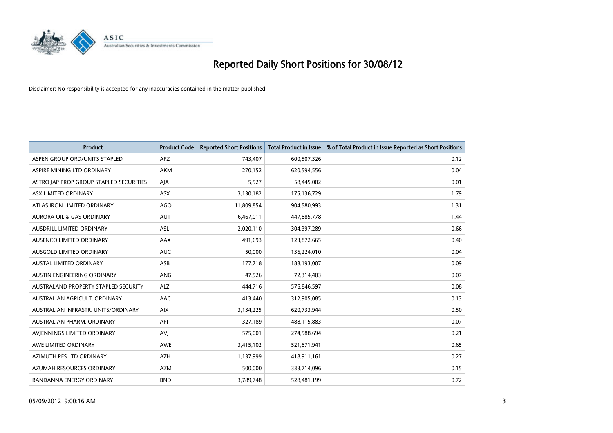

| <b>Product</b>                              | <b>Product Code</b> | <b>Reported Short Positions</b> | <b>Total Product in Issue</b> | % of Total Product in Issue Reported as Short Positions |
|---------------------------------------------|---------------------|---------------------------------|-------------------------------|---------------------------------------------------------|
| ASPEN GROUP ORD/UNITS STAPLED               | <b>APZ</b>          | 743,407                         | 600,507,326                   | 0.12                                                    |
| ASPIRE MINING LTD ORDINARY                  | <b>AKM</b>          | 270,152                         | 620,594,556                   | 0.04                                                    |
| ASTRO JAP PROP GROUP STAPLED SECURITIES     | AJA                 | 5,527                           | 58,445,002                    | 0.01                                                    |
| ASX LIMITED ORDINARY                        | ASX                 | 3,130,182                       | 175,136,729                   | 1.79                                                    |
| ATLAS IRON LIMITED ORDINARY                 | AGO                 | 11,809,854                      | 904,580,993                   | 1.31                                                    |
| <b>AURORA OIL &amp; GAS ORDINARY</b>        | <b>AUT</b>          | 6,467,011                       | 447,885,778                   | 1.44                                                    |
| AUSDRILL LIMITED ORDINARY                   | <b>ASL</b>          | 2,020,110                       | 304,397,289                   | 0.66                                                    |
| AUSENCO LIMITED ORDINARY                    | AAX                 | 491,693                         | 123,872,665                   | 0.40                                                    |
| AUSGOLD LIMITED ORDINARY                    | <b>AUC</b>          | 50,000                          | 136,224,010                   | 0.04                                                    |
| <b>AUSTAL LIMITED ORDINARY</b>              | ASB                 | 177,718                         | 188,193,007                   | 0.09                                                    |
| AUSTIN ENGINEERING ORDINARY                 | ANG                 | 47,526                          | 72,314,403                    | 0.07                                                    |
| <b>AUSTRALAND PROPERTY STAPLED SECURITY</b> | <b>ALZ</b>          | 444,716                         | 576,846,597                   | 0.08                                                    |
| AUSTRALIAN AGRICULT. ORDINARY               | AAC                 | 413,440                         | 312,905,085                   | 0.13                                                    |
| AUSTRALIAN INFRASTR. UNITS/ORDINARY         | <b>AIX</b>          | 3,134,225                       | 620,733,944                   | 0.50                                                    |
| AUSTRALIAN PHARM, ORDINARY                  | API                 | 327,189                         | 488,115,883                   | 0.07                                                    |
| AVIENNINGS LIMITED ORDINARY                 | AVI                 | 575,001                         | 274,588,694                   | 0.21                                                    |
| AWE LIMITED ORDINARY                        | AWE                 | 3,415,102                       | 521,871,941                   | 0.65                                                    |
| AZIMUTH RES LTD ORDINARY                    | <b>AZH</b>          | 1,137,999                       | 418,911,161                   | 0.27                                                    |
| AZUMAH RESOURCES ORDINARY                   | <b>AZM</b>          | 500,000                         | 333,714,096                   | 0.15                                                    |
| <b>BANDANNA ENERGY ORDINARY</b>             | <b>BND</b>          | 3,789,748                       | 528,481,199                   | 0.72                                                    |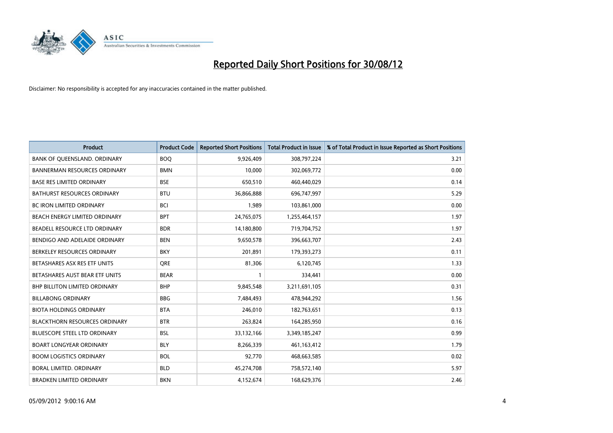

| <b>Product</b>                       | <b>Product Code</b> | <b>Reported Short Positions</b> | <b>Total Product in Issue</b> | % of Total Product in Issue Reported as Short Positions |
|--------------------------------------|---------------------|---------------------------------|-------------------------------|---------------------------------------------------------|
| BANK OF QUEENSLAND. ORDINARY         | <b>BOQ</b>          | 9,926,409                       | 308,797,224                   | 3.21                                                    |
| <b>BANNERMAN RESOURCES ORDINARY</b>  | <b>BMN</b>          | 10,000                          | 302,069,772                   | 0.00                                                    |
| <b>BASE RES LIMITED ORDINARY</b>     | <b>BSE</b>          | 650,510                         | 460,440,029                   | 0.14                                                    |
| BATHURST RESOURCES ORDINARY          | <b>BTU</b>          | 36,866,888                      | 696,747,997                   | 5.29                                                    |
| <b>BC IRON LIMITED ORDINARY</b>      | <b>BCI</b>          | 1,989                           | 103,861,000                   | 0.00                                                    |
| <b>BEACH ENERGY LIMITED ORDINARY</b> | <b>BPT</b>          | 24,765,075                      | 1,255,464,157                 | 1.97                                                    |
| BEADELL RESOURCE LTD ORDINARY        | <b>BDR</b>          | 14,180,800                      | 719,704,752                   | 1.97                                                    |
| BENDIGO AND ADELAIDE ORDINARY        | <b>BEN</b>          | 9,650,578                       | 396,663,707                   | 2.43                                                    |
| BERKELEY RESOURCES ORDINARY          | <b>BKY</b>          | 201.891                         | 179,393,273                   | 0.11                                                    |
| BETASHARES ASX RES ETF UNITS         | <b>ORE</b>          | 81,306                          | 6,120,745                     | 1.33                                                    |
| BETASHARES AUST BEAR ETF UNITS       | <b>BEAR</b>         |                                 | 334,441                       | 0.00                                                    |
| <b>BHP BILLITON LIMITED ORDINARY</b> | <b>BHP</b>          | 9,845,548                       | 3,211,691,105                 | 0.31                                                    |
| <b>BILLABONG ORDINARY</b>            | <b>BBG</b>          | 7,484,493                       | 478,944,292                   | 1.56                                                    |
| <b>BIOTA HOLDINGS ORDINARY</b>       | <b>BTA</b>          | 246,010                         | 182,763,651                   | 0.13                                                    |
| <b>BLACKTHORN RESOURCES ORDINARY</b> | <b>BTR</b>          | 263,824                         | 164,285,950                   | 0.16                                                    |
| BLUESCOPE STEEL LTD ORDINARY         | <b>BSL</b>          | 33,132,166                      | 3,349,185,247                 | 0.99                                                    |
| <b>BOART LONGYEAR ORDINARY</b>       | <b>BLY</b>          | 8,266,339                       | 461,163,412                   | 1.79                                                    |
| <b>BOOM LOGISTICS ORDINARY</b>       | <b>BOL</b>          | 92,770                          | 468,663,585                   | 0.02                                                    |
| BORAL LIMITED, ORDINARY              | <b>BLD</b>          | 45,274,708                      | 758,572,140                   | 5.97                                                    |
| <b>BRADKEN LIMITED ORDINARY</b>      | <b>BKN</b>          | 4,152,674                       | 168,629,376                   | 2.46                                                    |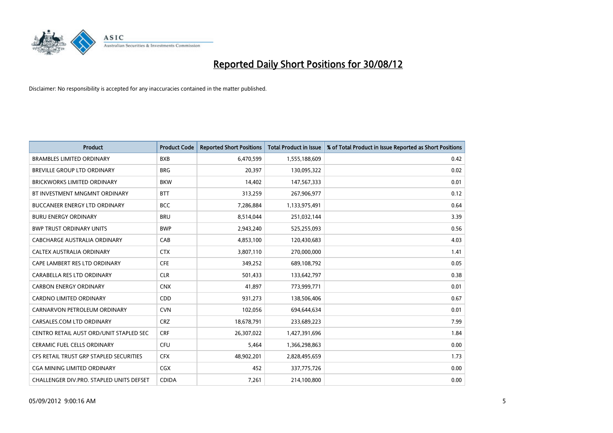

| <b>Product</b>                                  | <b>Product Code</b> | <b>Reported Short Positions</b> | <b>Total Product in Issue</b> | % of Total Product in Issue Reported as Short Positions |
|-------------------------------------------------|---------------------|---------------------------------|-------------------------------|---------------------------------------------------------|
| <b>BRAMBLES LIMITED ORDINARY</b>                | <b>BXB</b>          | 6,470,599                       | 1,555,188,609                 | 0.42                                                    |
| BREVILLE GROUP LTD ORDINARY                     | <b>BRG</b>          | 20,397                          | 130,095,322                   | 0.02                                                    |
| <b>BRICKWORKS LIMITED ORDINARY</b>              | <b>BKW</b>          | 14,402                          | 147,567,333                   | 0.01                                                    |
| BT INVESTMENT MNGMNT ORDINARY                   | <b>BTT</b>          | 313,259                         | 267,906,977                   | 0.12                                                    |
| <b>BUCCANEER ENERGY LTD ORDINARY</b>            | <b>BCC</b>          | 7,286,884                       | 1,133,975,491                 | 0.64                                                    |
| <b>BURU ENERGY ORDINARY</b>                     | <b>BRU</b>          | 8,514,044                       | 251,032,144                   | 3.39                                                    |
| <b>BWP TRUST ORDINARY UNITS</b>                 | <b>BWP</b>          | 2,943,240                       | 525,255,093                   | 0.56                                                    |
| CABCHARGE AUSTRALIA ORDINARY                    | CAB                 | 4,853,100                       | 120,430,683                   | 4.03                                                    |
| CALTEX AUSTRALIA ORDINARY                       | <b>CTX</b>          | 3,807,110                       | 270,000,000                   | 1.41                                                    |
| CAPE LAMBERT RES LTD ORDINARY                   | <b>CFE</b>          | 349,252                         | 689,108,792                   | 0.05                                                    |
| CARABELLA RES LTD ORDINARY                      | <b>CLR</b>          | 501,433                         | 133,642,797                   | 0.38                                                    |
| <b>CARBON ENERGY ORDINARY</b>                   | <b>CNX</b>          | 41,897                          | 773,999,771                   | 0.01                                                    |
| CARDNO LIMITED ORDINARY                         | CDD                 | 931,273                         | 138,506,406                   | 0.67                                                    |
| CARNARVON PETROLEUM ORDINARY                    | <b>CVN</b>          | 102,056                         | 694,644,634                   | 0.01                                                    |
| CARSALES.COM LTD ORDINARY                       | <b>CRZ</b>          | 18,678,791                      | 233,689,223                   | 7.99                                                    |
| CENTRO RETAIL AUST ORD/UNIT STAPLED SEC         | <b>CRF</b>          | 26,307,022                      | 1,427,391,696                 | 1.84                                                    |
| <b>CERAMIC FUEL CELLS ORDINARY</b>              | <b>CFU</b>          | 5,464                           | 1,366,298,863                 | 0.00                                                    |
| CFS RETAIL TRUST GRP STAPLED SECURITIES         | <b>CFX</b>          | 48,902,201                      | 2,828,495,659                 | 1.73                                                    |
| <b>CGA MINING LIMITED ORDINARY</b>              | <b>CGX</b>          | 452                             | 337,775,726                   | 0.00                                                    |
| <b>CHALLENGER DIV.PRO. STAPLED UNITS DEFSET</b> | <b>CDIDA</b>        | 7,261                           | 214,100,800                   | 0.00                                                    |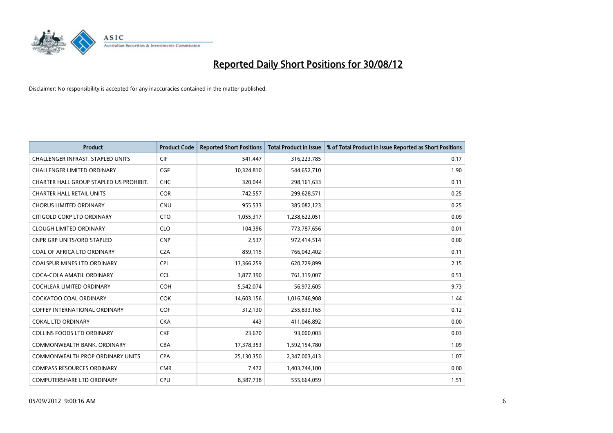

| <b>Product</b>                           | <b>Product Code</b> | <b>Reported Short Positions</b> | <b>Total Product in Issue</b> | % of Total Product in Issue Reported as Short Positions |
|------------------------------------------|---------------------|---------------------------------|-------------------------------|---------------------------------------------------------|
| <b>CHALLENGER INFRAST, STAPLED UNITS</b> | <b>CIF</b>          | 541,447                         | 316,223,785                   | 0.17                                                    |
| <b>CHALLENGER LIMITED ORDINARY</b>       | <b>CGF</b>          | 10,324,810                      | 544,652,710                   | 1.90                                                    |
| CHARTER HALL GROUP STAPLED US PROHIBIT.  | <b>CHC</b>          | 320,044                         | 298,161,633                   | 0.11                                                    |
| <b>CHARTER HALL RETAIL UNITS</b>         | <b>COR</b>          | 742,557                         | 299,628,571                   | 0.25                                                    |
| <b>CHORUS LIMITED ORDINARY</b>           | <b>CNU</b>          | 955,533                         | 385,082,123                   | 0.25                                                    |
| CITIGOLD CORP LTD ORDINARY               | <b>CTO</b>          | 1,055,317                       | 1,238,622,051                 | 0.09                                                    |
| <b>CLOUGH LIMITED ORDINARY</b>           | <b>CLO</b>          | 104.396                         | 773,787,656                   | 0.01                                                    |
| <b>CNPR GRP UNITS/ORD STAPLED</b>        | <b>CNP</b>          | 2,537                           | 972,414,514                   | 0.00                                                    |
| COAL OF AFRICA LTD ORDINARY              | <b>CZA</b>          | 859,115                         | 766,042,402                   | 0.11                                                    |
| <b>COALSPUR MINES LTD ORDINARY</b>       | <b>CPL</b>          | 13,366,259                      | 620,729,899                   | 2.15                                                    |
| COCA-COLA AMATIL ORDINARY                | <b>CCL</b>          | 3,877,390                       | 761,319,007                   | 0.51                                                    |
| <b>COCHLEAR LIMITED ORDINARY</b>         | <b>COH</b>          | 5,542,074                       | 56,972,605                    | 9.73                                                    |
| <b>COCKATOO COAL ORDINARY</b>            | COK                 | 14,603,156                      | 1,016,746,908                 | 1.44                                                    |
| <b>COFFEY INTERNATIONAL ORDINARY</b>     | <b>COF</b>          | 312,130                         | 255,833,165                   | 0.12                                                    |
| <b>COKAL LTD ORDINARY</b>                | <b>CKA</b>          | 443                             | 411,046,892                   | 0.00                                                    |
| <b>COLLINS FOODS LTD ORDINARY</b>        | <b>CKF</b>          | 23,670                          | 93,000,003                    | 0.03                                                    |
| COMMONWEALTH BANK, ORDINARY              | CBA                 | 17,378,353                      | 1,592,154,780                 | 1.09                                                    |
| <b>COMMONWEALTH PROP ORDINARY UNITS</b>  | <b>CPA</b>          | 25,130,350                      | 2,347,003,413                 | 1.07                                                    |
| <b>COMPASS RESOURCES ORDINARY</b>        | <b>CMR</b>          | 7,472                           | 1,403,744,100                 | 0.00                                                    |
| <b>COMPUTERSHARE LTD ORDINARY</b>        | <b>CPU</b>          | 8,387,738                       | 555,664,059                   | 1.51                                                    |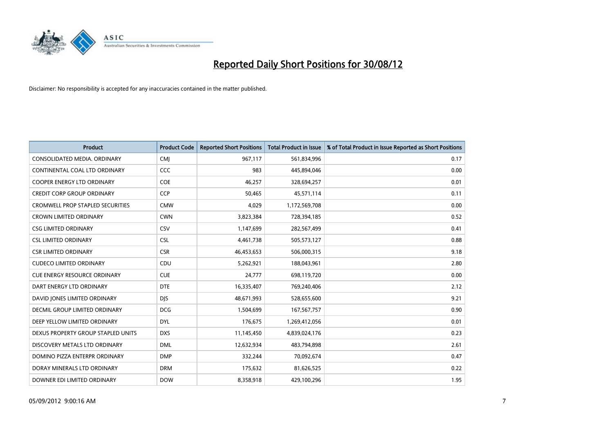

| <b>Product</b>                          | <b>Product Code</b> | <b>Reported Short Positions</b> | <b>Total Product in Issue</b> | % of Total Product in Issue Reported as Short Positions |
|-----------------------------------------|---------------------|---------------------------------|-------------------------------|---------------------------------------------------------|
| CONSOLIDATED MEDIA, ORDINARY            | <b>CMI</b>          | 967,117                         | 561,834,996                   | 0.17                                                    |
| CONTINENTAL COAL LTD ORDINARY           | CCC                 | 983                             | 445,894,046                   | 0.00                                                    |
| <b>COOPER ENERGY LTD ORDINARY</b>       | COE                 | 46,257                          | 328,694,257                   | 0.01                                                    |
| CREDIT CORP GROUP ORDINARY              | <b>CCP</b>          | 50,465                          | 45,571,114                    | 0.11                                                    |
| <b>CROMWELL PROP STAPLED SECURITIES</b> | <b>CMW</b>          | 4,029                           | 1,172,569,708                 | 0.00                                                    |
| <b>CROWN LIMITED ORDINARY</b>           | <b>CWN</b>          | 3,823,384                       | 728,394,185                   | 0.52                                                    |
| <b>CSG LIMITED ORDINARY</b>             | CSV                 | 1,147,699                       | 282,567,499                   | 0.41                                                    |
| <b>CSL LIMITED ORDINARY</b>             | <b>CSL</b>          | 4,461,738                       | 505,573,127                   | 0.88                                                    |
| <b>CSR LIMITED ORDINARY</b>             | <b>CSR</b>          | 46,453,653                      | 506,000,315                   | 9.18                                                    |
| <b>CUDECO LIMITED ORDINARY</b>          | CDU                 | 5,262,921                       | 188,043,961                   | 2.80                                                    |
| <b>CUE ENERGY RESOURCE ORDINARY</b>     | <b>CUE</b>          | 24,777                          | 698,119,720                   | 0.00                                                    |
| DART ENERGY LTD ORDINARY                | <b>DTE</b>          | 16,335,407                      | 769,240,406                   | 2.12                                                    |
| DAVID JONES LIMITED ORDINARY            | <b>DJS</b>          | 48,671,993                      | 528,655,600                   | 9.21                                                    |
| <b>DECMIL GROUP LIMITED ORDINARY</b>    | <b>DCG</b>          | 1,504,699                       | 167,567,757                   | 0.90                                                    |
| DEEP YELLOW LIMITED ORDINARY            | <b>DYL</b>          | 176,675                         | 1,269,412,056                 | 0.01                                                    |
| DEXUS PROPERTY GROUP STAPLED UNITS      | <b>DXS</b>          | 11,145,450                      | 4,839,024,176                 | 0.23                                                    |
| DISCOVERY METALS LTD ORDINARY           | <b>DML</b>          | 12,632,934                      | 483,794,898                   | 2.61                                                    |
| DOMINO PIZZA ENTERPR ORDINARY           | <b>DMP</b>          | 332,244                         | 70,092,674                    | 0.47                                                    |
| DORAY MINERALS LTD ORDINARY             | <b>DRM</b>          | 175,632                         | 81,626,525                    | 0.22                                                    |
| DOWNER EDI LIMITED ORDINARY             | <b>DOW</b>          | 8,358,918                       | 429,100,296                   | 1.95                                                    |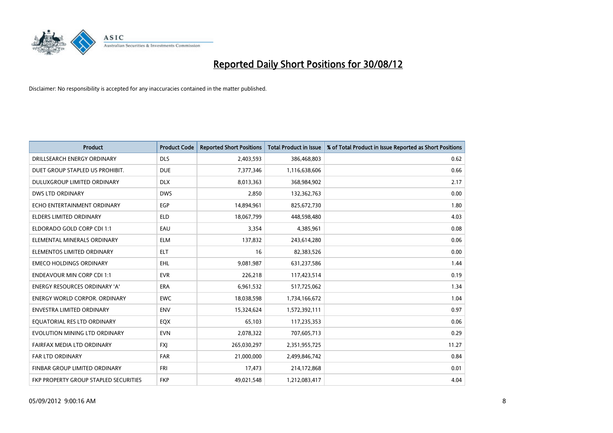

| <b>Product</b>                               | <b>Product Code</b> | <b>Reported Short Positions</b> | <b>Total Product in Issue</b> | % of Total Product in Issue Reported as Short Positions |
|----------------------------------------------|---------------------|---------------------------------|-------------------------------|---------------------------------------------------------|
| DRILLSEARCH ENERGY ORDINARY                  | <b>DLS</b>          | 2,403,593                       | 386,468,803                   | 0.62                                                    |
| DUET GROUP STAPLED US PROHIBIT.              | <b>DUE</b>          | 7,377,346                       | 1,116,638,606                 | 0.66                                                    |
| <b>DULUXGROUP LIMITED ORDINARY</b>           | <b>DLX</b>          | 8,013,363                       | 368,984,902                   | 2.17                                                    |
| <b>DWS LTD ORDINARY</b>                      | <b>DWS</b>          | 2,850                           | 132,362,763                   | 0.00                                                    |
| ECHO ENTERTAINMENT ORDINARY                  | EGP                 | 14,894,961                      | 825,672,730                   | 1.80                                                    |
| <b>ELDERS LIMITED ORDINARY</b>               | <b>ELD</b>          | 18,067,799                      | 448,598,480                   | 4.03                                                    |
| ELDORADO GOLD CORP CDI 1:1                   | EAU                 | 3,354                           | 4,385,961                     | 0.08                                                    |
| ELEMENTAL MINERALS ORDINARY                  | <b>ELM</b>          | 137,832                         | 243,614,280                   | 0.06                                                    |
| ELEMENTOS LIMITED ORDINARY                   | <b>ELT</b>          | 16                              | 82,383,526                    | 0.00                                                    |
| <b>EMECO HOLDINGS ORDINARY</b>               | <b>EHL</b>          | 9,081,987                       | 631,237,586                   | 1.44                                                    |
| <b>ENDEAVOUR MIN CORP CDI 1:1</b>            | <b>EVR</b>          | 226,218                         | 117,423,514                   | 0.19                                                    |
| <b>ENERGY RESOURCES ORDINARY 'A'</b>         | <b>ERA</b>          | 6,961,532                       | 517,725,062                   | 1.34                                                    |
| <b>ENERGY WORLD CORPOR, ORDINARY</b>         | <b>EWC</b>          | 18,038,598                      | 1,734,166,672                 | 1.04                                                    |
| <b>ENVESTRA LIMITED ORDINARY</b>             | <b>ENV</b>          | 15,324,624                      | 1,572,392,111                 | 0.97                                                    |
| EQUATORIAL RES LTD ORDINARY                  | EQX                 | 65,103                          | 117,235,353                   | 0.06                                                    |
| EVOLUTION MINING LTD ORDINARY                | <b>EVN</b>          | 2,078,322                       | 707,605,713                   | 0.29                                                    |
| FAIRFAX MEDIA LTD ORDINARY                   | <b>FXI</b>          | 265,030,297                     | 2,351,955,725                 | 11.27                                                   |
| FAR LTD ORDINARY                             | <b>FAR</b>          | 21,000,000                      | 2,499,846,742                 | 0.84                                                    |
| <b>FINBAR GROUP LIMITED ORDINARY</b>         | <b>FRI</b>          | 17,473                          | 214,172,868                   | 0.01                                                    |
| <b>FKP PROPERTY GROUP STAPLED SECURITIES</b> | <b>FKP</b>          | 49,021,548                      | 1,212,083,417                 | 4.04                                                    |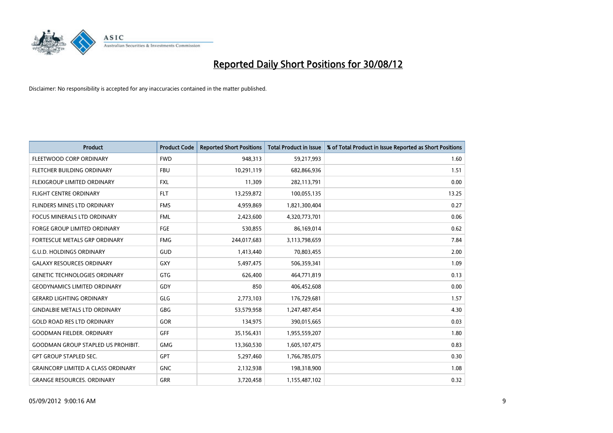

| <b>Product</b>                            | <b>Product Code</b> | <b>Reported Short Positions</b> | <b>Total Product in Issue</b> | % of Total Product in Issue Reported as Short Positions |
|-------------------------------------------|---------------------|---------------------------------|-------------------------------|---------------------------------------------------------|
| FLEETWOOD CORP ORDINARY                   | <b>FWD</b>          | 948,313                         | 59,217,993                    | 1.60                                                    |
| FLETCHER BUILDING ORDINARY                | <b>FBU</b>          | 10,291,119                      | 682,866,936                   | 1.51                                                    |
| <b>FLEXIGROUP LIMITED ORDINARY</b>        | <b>FXL</b>          | 11,309                          | 282,113,791                   | 0.00                                                    |
| FLIGHT CENTRE ORDINARY                    | <b>FLT</b>          | 13,259,872                      | 100,055,135                   | 13.25                                                   |
| FLINDERS MINES LTD ORDINARY               | <b>FMS</b>          | 4,959,869                       | 1,821,300,404                 | 0.27                                                    |
| <b>FOCUS MINERALS LTD ORDINARY</b>        | <b>FML</b>          | 2,423,600                       | 4,320,773,701                 | 0.06                                                    |
| <b>FORGE GROUP LIMITED ORDINARY</b>       | FGE                 | 530.855                         | 86,169,014                    | 0.62                                                    |
| FORTESCUE METALS GRP ORDINARY             | <b>FMG</b>          | 244,017,683                     | 3,113,798,659                 | 7.84                                                    |
| <b>G.U.D. HOLDINGS ORDINARY</b>           | GUD                 | 1,413,440                       | 70,803,455                    | 2.00                                                    |
| <b>GALAXY RESOURCES ORDINARY</b>          | <b>GXY</b>          | 5,497,475                       | 506,359,341                   | 1.09                                                    |
| <b>GENETIC TECHNOLOGIES ORDINARY</b>      | <b>GTG</b>          | 626,400                         | 464,771,819                   | 0.13                                                    |
| <b>GEODYNAMICS LIMITED ORDINARY</b>       | GDY                 | 850                             | 406,452,608                   | 0.00                                                    |
| <b>GERARD LIGHTING ORDINARY</b>           | GLG                 | 2,773,103                       | 176,729,681                   | 1.57                                                    |
| <b>GINDALBIE METALS LTD ORDINARY</b>      | <b>GBG</b>          | 53,579,958                      | 1,247,487,454                 | 4.30                                                    |
| <b>GOLD ROAD RES LTD ORDINARY</b>         | <b>GOR</b>          | 134,975                         | 390,015,665                   | 0.03                                                    |
| <b>GOODMAN FIELDER. ORDINARY</b>          | <b>GFF</b>          | 35,156,431                      | 1,955,559,207                 | 1.80                                                    |
| <b>GOODMAN GROUP STAPLED US PROHIBIT.</b> | <b>GMG</b>          | 13,360,530                      | 1,605,107,475                 | 0.83                                                    |
| <b>GPT GROUP STAPLED SEC.</b>             | <b>GPT</b>          | 5,297,460                       | 1,766,785,075                 | 0.30                                                    |
| <b>GRAINCORP LIMITED A CLASS ORDINARY</b> | <b>GNC</b>          | 2,132,938                       | 198,318,900                   | 1.08                                                    |
| <b>GRANGE RESOURCES, ORDINARY</b>         | <b>GRR</b>          | 3,720,458                       | 1,155,487,102                 | 0.32                                                    |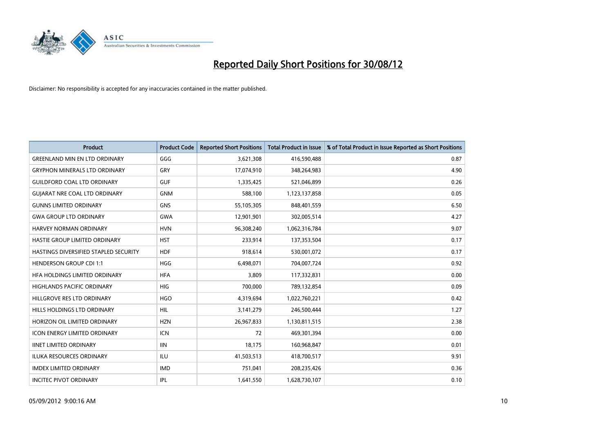

| <b>Product</b>                        | <b>Product Code</b> | <b>Reported Short Positions</b> | <b>Total Product in Issue</b> | % of Total Product in Issue Reported as Short Positions |
|---------------------------------------|---------------------|---------------------------------|-------------------------------|---------------------------------------------------------|
| <b>GREENLAND MIN EN LTD ORDINARY</b>  | GGG                 | 3,621,308                       | 416,590,488                   | 0.87                                                    |
| <b>GRYPHON MINERALS LTD ORDINARY</b>  | GRY                 | 17,074,910                      | 348,264,983                   | 4.90                                                    |
| <b>GUILDFORD COAL LTD ORDINARY</b>    | <b>GUF</b>          | 1,335,425                       | 521,046,899                   | 0.26                                                    |
| <b>GUIARAT NRE COAL LTD ORDINARY</b>  | <b>GNM</b>          | 588,100                         | 1,123,137,858                 | 0.05                                                    |
| <b>GUNNS LIMITED ORDINARY</b>         | <b>GNS</b>          | 55,105,305                      | 848,401,559                   | 6.50                                                    |
| <b>GWA GROUP LTD ORDINARY</b>         | <b>GWA</b>          | 12,901,901                      | 302,005,514                   | 4.27                                                    |
| HARVEY NORMAN ORDINARY                | <b>HVN</b>          | 96,308,240                      | 1,062,316,784                 | 9.07                                                    |
| HASTIE GROUP LIMITED ORDINARY         | <b>HST</b>          | 233,914                         | 137,353,504                   | 0.17                                                    |
| HASTINGS DIVERSIFIED STAPLED SECURITY | <b>HDF</b>          | 918,614                         | 530,001,072                   | 0.17                                                    |
| <b>HENDERSON GROUP CDI 1:1</b>        | <b>HGG</b>          | 6,498,071                       | 704,007,724                   | 0.92                                                    |
| HFA HOLDINGS LIMITED ORDINARY         | <b>HFA</b>          | 3,809                           | 117,332,831                   | 0.00                                                    |
| <b>HIGHLANDS PACIFIC ORDINARY</b>     | <b>HIG</b>          | 700,000                         | 789,132,854                   | 0.09                                                    |
| HILLGROVE RES LTD ORDINARY            | <b>HGO</b>          | 4,319,694                       | 1,022,760,221                 | 0.42                                                    |
| <b>HILLS HOLDINGS LTD ORDINARY</b>    | <b>HIL</b>          | 3,141,279                       | 246,500,444                   | 1.27                                                    |
| HORIZON OIL LIMITED ORDINARY          | <b>HZN</b>          | 26,967,833                      | 1,130,811,515                 | 2.38                                                    |
| ICON ENERGY LIMITED ORDINARY          | <b>ICN</b>          | 72                              | 469,301,394                   | 0.00                                                    |
| <b>IINET LIMITED ORDINARY</b>         | <b>IIN</b>          | 18,175                          | 160,968,847                   | 0.01                                                    |
| ILUKA RESOURCES ORDINARY              | ILU                 | 41,503,513                      | 418,700,517                   | 9.91                                                    |
| <b>IMDEX LIMITED ORDINARY</b>         | <b>IMD</b>          | 751,041                         | 208,235,426                   | 0.36                                                    |
| <b>INCITEC PIVOT ORDINARY</b>         | <b>IPL</b>          | 1,641,550                       | 1,628,730,107                 | 0.10                                                    |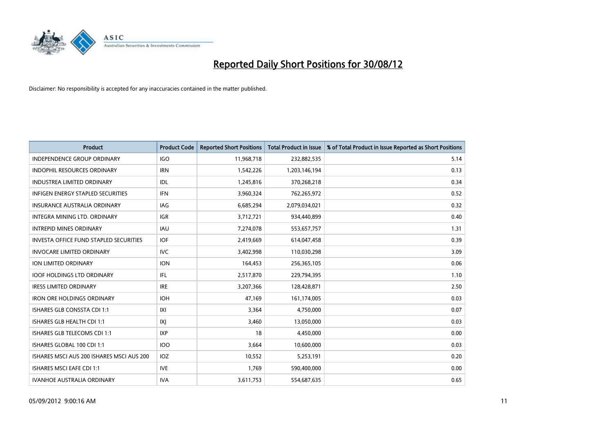

| <b>Product</b>                                | <b>Product Code</b> | <b>Reported Short Positions</b> | <b>Total Product in Issue</b> | % of Total Product in Issue Reported as Short Positions |
|-----------------------------------------------|---------------------|---------------------------------|-------------------------------|---------------------------------------------------------|
| <b>INDEPENDENCE GROUP ORDINARY</b>            | <b>IGO</b>          | 11,968,718                      | 232,882,535                   | 5.14                                                    |
| INDOPHIL RESOURCES ORDINARY                   | <b>IRN</b>          | 1,542,226                       | 1,203,146,194                 | 0.13                                                    |
| <b>INDUSTREA LIMITED ORDINARY</b>             | <b>IDL</b>          | 1,245,816                       | 370,268,218                   | 0.34                                                    |
| INFIGEN ENERGY STAPLED SECURITIES             | <b>IFN</b>          | 3,960,324                       | 762,265,972                   | 0.52                                                    |
| <b>INSURANCE AUSTRALIA ORDINARY</b>           | IAG                 | 6,685,294                       | 2,079,034,021                 | 0.32                                                    |
| INTEGRA MINING LTD. ORDINARY                  | <b>IGR</b>          | 3,712,721                       | 934,440,899                   | 0.40                                                    |
| <b>INTREPID MINES ORDINARY</b>                | <b>IAU</b>          | 7,274,078                       | 553,657,757                   | 1.31                                                    |
| <b>INVESTA OFFICE FUND STAPLED SECURITIES</b> | IOF                 | 2,419,669                       | 614,047,458                   | 0.39                                                    |
| <b>INVOCARE LIMITED ORDINARY</b>              | <b>IVC</b>          | 3,402,998                       | 110,030,298                   | 3.09                                                    |
| <b>ION LIMITED ORDINARY</b>                   | <b>ION</b>          | 164,453                         | 256,365,105                   | 0.06                                                    |
| <b>IOOF HOLDINGS LTD ORDINARY</b>             | <b>IFL</b>          | 2,517,870                       | 229,794,395                   | 1.10                                                    |
| <b>IRESS LIMITED ORDINARY</b>                 | <b>IRE</b>          | 3,207,366                       | 128,428,871                   | 2.50                                                    |
| <b>IRON ORE HOLDINGS ORDINARY</b>             | <b>IOH</b>          | 47,169                          | 161,174,005                   | 0.03                                                    |
| ISHARES GLB CONSSTA CDI 1:1                   | X                   | 3,364                           | 4,750,000                     | 0.07                                                    |
| ISHARES GLB HEALTH CDI 1:1                    | IXJ                 | 3,460                           | 13,050,000                    | 0.03                                                    |
| ISHARES GLB TELECOMS CDI 1:1                  | <b>IXP</b>          | 18                              | 4,450,000                     | 0.00                                                    |
| ISHARES GLOBAL 100 CDI 1:1                    | 100                 | 3,664                           | 10,600,000                    | 0.03                                                    |
| ISHARES MSCI AUS 200 ISHARES MSCI AUS 200     | IOZ                 | 10,552                          | 5,253,191                     | 0.20                                                    |
| <b>ISHARES MSCI EAFE CDI 1:1</b>              | <b>IVE</b>          | 1,769                           | 590,400,000                   | 0.00                                                    |
| <b>IVANHOE AUSTRALIA ORDINARY</b>             | <b>IVA</b>          | 3,611,753                       | 554,687,635                   | 0.65                                                    |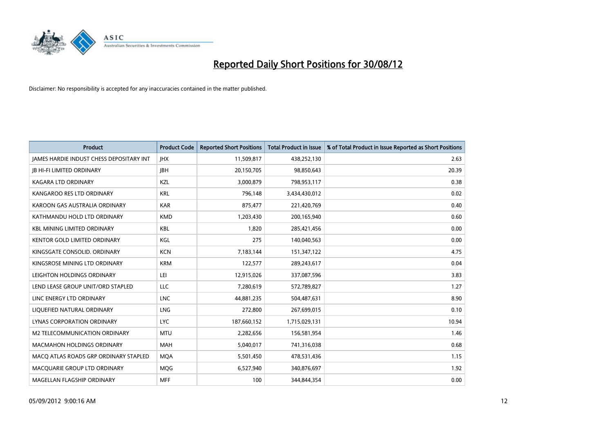

| <b>Product</b>                                  | <b>Product Code</b> | <b>Reported Short Positions</b> | <b>Total Product in Issue</b> | % of Total Product in Issue Reported as Short Positions |
|-------------------------------------------------|---------------------|---------------------------------|-------------------------------|---------------------------------------------------------|
| <b>JAMES HARDIE INDUST CHESS DEPOSITARY INT</b> | <b>IHX</b>          | 11,509,817                      | 438,252,130                   | 2.63                                                    |
| <b>JB HI-FI LIMITED ORDINARY</b>                | <b>IBH</b>          | 20,150,705                      | 98,850,643                    | 20.39                                                   |
| <b>KAGARA LTD ORDINARY</b>                      | <b>KZL</b>          | 3,000,879                       | 798,953,117                   | 0.38                                                    |
| KANGAROO RES LTD ORDINARY                       | <b>KRL</b>          | 796,148                         | 3,434,430,012                 | 0.02                                                    |
| KAROON GAS AUSTRALIA ORDINARY                   | <b>KAR</b>          | 875,477                         | 221,420,769                   | 0.40                                                    |
| KATHMANDU HOLD LTD ORDINARY                     | <b>KMD</b>          | 1,203,430                       | 200,165,940                   | 0.60                                                    |
| <b>KBL MINING LIMITED ORDINARY</b>              | <b>KBL</b>          | 1.820                           | 285,421,456                   | 0.00                                                    |
| <b>KENTOR GOLD LIMITED ORDINARY</b>             | KGL                 | 275                             | 140,040,563                   | 0.00                                                    |
| KINGSGATE CONSOLID. ORDINARY                    | <b>KCN</b>          | 7,183,144                       | 151,347,122                   | 4.75                                                    |
| KINGSROSE MINING LTD ORDINARY                   | <b>KRM</b>          | 122,577                         | 289,243,617                   | 0.04                                                    |
| LEIGHTON HOLDINGS ORDINARY                      | LEI                 | 12,915,026                      | 337,087,596                   | 3.83                                                    |
| LEND LEASE GROUP UNIT/ORD STAPLED               | <b>LLC</b>          | 7,280,619                       | 572,789,827                   | 1.27                                                    |
| LINC ENERGY LTD ORDINARY                        | <b>LNC</b>          | 44,881,235                      | 504,487,631                   | 8.90                                                    |
| LIQUEFIED NATURAL ORDINARY                      | <b>LNG</b>          | 272,800                         | 267,699,015                   | 0.10                                                    |
| <b>LYNAS CORPORATION ORDINARY</b>               | <b>LYC</b>          | 187,660,152                     | 1,715,029,131                 | 10.94                                                   |
| M2 TELECOMMUNICATION ORDINARY                   | <b>MTU</b>          | 2,282,656                       | 156,581,954                   | 1.46                                                    |
| <b>MACMAHON HOLDINGS ORDINARY</b>               | <b>MAH</b>          | 5,040,017                       | 741,316,038                   | 0.68                                                    |
| MACQ ATLAS ROADS GRP ORDINARY STAPLED           | <b>MOA</b>          | 5,501,450                       | 478,531,436                   | 1.15                                                    |
| MACOUARIE GROUP LTD ORDINARY                    | <b>MOG</b>          | 6,527,940                       | 340,876,697                   | 1.92                                                    |
| MAGELLAN FLAGSHIP ORDINARY                      | <b>MFF</b>          | 100                             | 344.844.354                   | 0.00                                                    |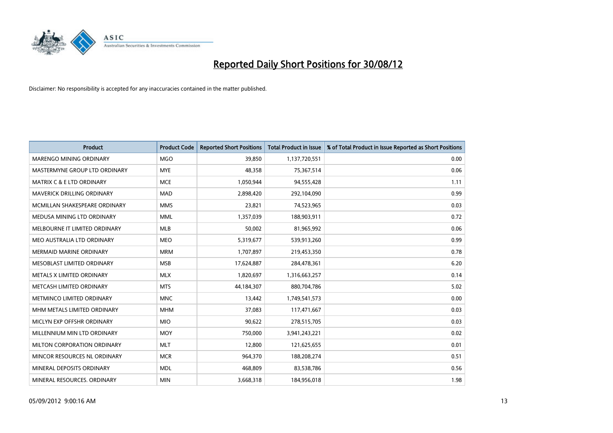

| <b>Product</b>                       | <b>Product Code</b> | <b>Reported Short Positions</b> | <b>Total Product in Issue</b> | % of Total Product in Issue Reported as Short Positions |
|--------------------------------------|---------------------|---------------------------------|-------------------------------|---------------------------------------------------------|
| <b>MARENGO MINING ORDINARY</b>       | <b>MGO</b>          | 39,850                          | 1,137,720,551                 | 0.00                                                    |
| MASTERMYNE GROUP LTD ORDINARY        | <b>MYE</b>          | 48,358                          | 75,367,514                    | 0.06                                                    |
| <b>MATRIX C &amp; E LTD ORDINARY</b> | <b>MCE</b>          | 1,050,944                       | 94,555,428                    | 1.11                                                    |
| MAVERICK DRILLING ORDINARY           | <b>MAD</b>          | 2,898,420                       | 292,104,090                   | 0.99                                                    |
| MCMILLAN SHAKESPEARE ORDINARY        | <b>MMS</b>          | 23,821                          | 74,523,965                    | 0.03                                                    |
| MEDUSA MINING LTD ORDINARY           | <b>MML</b>          | 1,357,039                       | 188,903,911                   | 0.72                                                    |
| MELBOURNE IT LIMITED ORDINARY        | <b>MLB</b>          | 50,002                          | 81,965,992                    | 0.06                                                    |
| MEO AUSTRALIA LTD ORDINARY           | <b>MEO</b>          | 5,319,677                       | 539,913,260                   | 0.99                                                    |
| <b>MERMAID MARINE ORDINARY</b>       | <b>MRM</b>          | 1,707,897                       | 219,453,350                   | 0.78                                                    |
| MESOBLAST LIMITED ORDINARY           | <b>MSB</b>          | 17,624,887                      | 284,478,361                   | 6.20                                                    |
| METALS X LIMITED ORDINARY            | <b>MLX</b>          | 1,820,697                       | 1,316,663,257                 | 0.14                                                    |
| METCASH LIMITED ORDINARY             | <b>MTS</b>          | 44,184,307                      | 880,704,786                   | 5.02                                                    |
| METMINCO LIMITED ORDINARY            | <b>MNC</b>          | 13,442                          | 1,749,541,573                 | 0.00                                                    |
| MHM METALS LIMITED ORDINARY          | <b>MHM</b>          | 37,083                          | 117,471,667                   | 0.03                                                    |
| MICLYN EXP OFFSHR ORDINARY           | <b>MIO</b>          | 90,622                          | 278,515,705                   | 0.03                                                    |
| MILLENNIUM MIN LTD ORDINARY          | <b>MOY</b>          | 750,000                         | 3,941,243,221                 | 0.02                                                    |
| MILTON CORPORATION ORDINARY          | <b>MLT</b>          | 12,800                          | 121,625,655                   | 0.01                                                    |
| MINCOR RESOURCES NL ORDINARY         | <b>MCR</b>          | 964,370                         | 188,208,274                   | 0.51                                                    |
| MINERAL DEPOSITS ORDINARY            | <b>MDL</b>          | 468,809                         | 83,538,786                    | 0.56                                                    |
| MINERAL RESOURCES, ORDINARY          | <b>MIN</b>          | 3,668,318                       | 184,956,018                   | 1.98                                                    |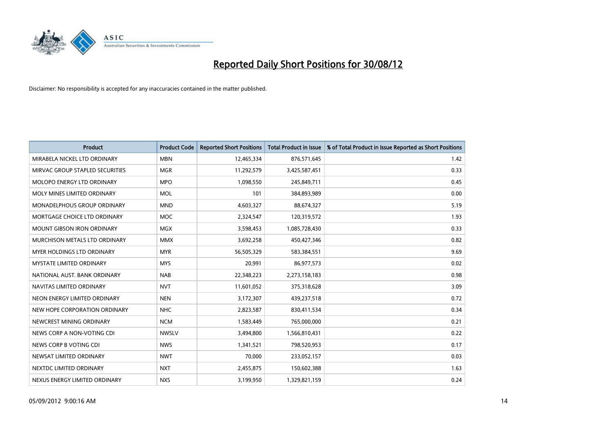

| <b>Product</b>                     | <b>Product Code</b> | <b>Reported Short Positions</b> | <b>Total Product in Issue</b> | % of Total Product in Issue Reported as Short Positions |
|------------------------------------|---------------------|---------------------------------|-------------------------------|---------------------------------------------------------|
| MIRABELA NICKEL LTD ORDINARY       | <b>MBN</b>          | 12,465,334                      | 876,571,645                   | 1.42                                                    |
| MIRVAC GROUP STAPLED SECURITIES    | <b>MGR</b>          | 11,292,579                      | 3,425,587,451                 | 0.33                                                    |
| <b>MOLOPO ENERGY LTD ORDINARY</b>  | <b>MPO</b>          | 1,098,550                       | 245,849,711                   | 0.45                                                    |
| MOLY MINES LIMITED ORDINARY        | <b>MOL</b>          | 101                             | 384,893,989                   | 0.00                                                    |
| <b>MONADELPHOUS GROUP ORDINARY</b> | <b>MND</b>          | 4,603,327                       | 88,674,327                    | 5.19                                                    |
| MORTGAGE CHOICE LTD ORDINARY       | <b>MOC</b>          | 2,324,547                       | 120,319,572                   | 1.93                                                    |
| <b>MOUNT GIBSON IRON ORDINARY</b>  | <b>MGX</b>          | 3,598,453                       | 1,085,728,430                 | 0.33                                                    |
| MURCHISON METALS LTD ORDINARY      | <b>MMX</b>          | 3,692,258                       | 450,427,346                   | 0.82                                                    |
| MYER HOLDINGS LTD ORDINARY         | <b>MYR</b>          | 56,505,329                      | 583,384,551                   | 9.69                                                    |
| <b>MYSTATE LIMITED ORDINARY</b>    | <b>MYS</b>          | 20,991                          | 86,977,573                    | 0.02                                                    |
| NATIONAL AUST, BANK ORDINARY       | <b>NAB</b>          | 22,348,223                      | 2,273,158,183                 | 0.98                                                    |
| NAVITAS LIMITED ORDINARY           | <b>NVT</b>          | 11,601,052                      | 375,318,628                   | 3.09                                                    |
| NEON ENERGY LIMITED ORDINARY       | <b>NEN</b>          | 3,172,307                       | 439,237,518                   | 0.72                                                    |
| NEW HOPE CORPORATION ORDINARY      | <b>NHC</b>          | 2,823,587                       | 830,411,534                   | 0.34                                                    |
| NEWCREST MINING ORDINARY           | <b>NCM</b>          | 1,583,449                       | 765,000,000                   | 0.21                                                    |
| NEWS CORP A NON-VOTING CDI         | <b>NWSLV</b>        | 3,494,800                       | 1,566,810,431                 | 0.22                                                    |
| NEWS CORP B VOTING CDI             | <b>NWS</b>          | 1,341,521                       | 798,520,953                   | 0.17                                                    |
| NEWSAT LIMITED ORDINARY            | <b>NWT</b>          | 70,000                          | 233,052,157                   | 0.03                                                    |
| NEXTDC LIMITED ORDINARY            | <b>NXT</b>          | 2,455,875                       | 150,602,388                   | 1.63                                                    |
| NEXUS ENERGY LIMITED ORDINARY      | <b>NXS</b>          | 3.199.950                       | 1,329,821,159                 | 0.24                                                    |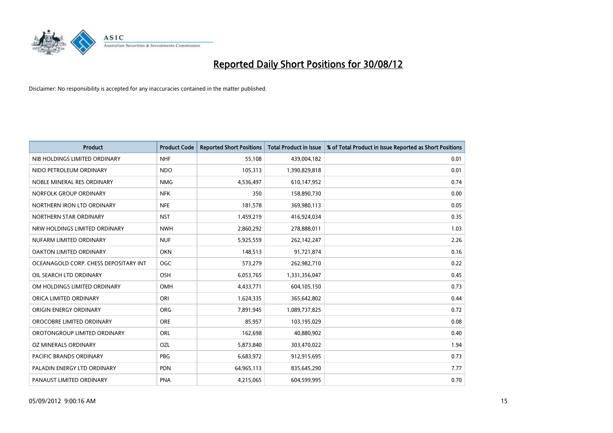

| <b>Product</b>                        | <b>Product Code</b> | <b>Reported Short Positions</b> | <b>Total Product in Issue</b> | % of Total Product in Issue Reported as Short Positions |
|---------------------------------------|---------------------|---------------------------------|-------------------------------|---------------------------------------------------------|
| NIB HOLDINGS LIMITED ORDINARY         | <b>NHF</b>          | 55.108                          | 439,004,182                   | 0.01                                                    |
| NIDO PETROLEUM ORDINARY               | <b>NDO</b>          | 105,313                         | 1,390,829,818                 | 0.01                                                    |
| NOBLE MINERAL RES ORDINARY            | <b>NMG</b>          | 4,536,497                       | 610,147,952                   | 0.74                                                    |
| NORFOLK GROUP ORDINARY                | <b>NFK</b>          | 350                             | 158,890,730                   | 0.00                                                    |
| NORTHERN IRON LTD ORDINARY            | <b>NFE</b>          | 181,578                         | 369,980,113                   | 0.05                                                    |
| NORTHERN STAR ORDINARY                | <b>NST</b>          | 1,459,219                       | 416,924,034                   | 0.35                                                    |
| NRW HOLDINGS LIMITED ORDINARY         | <b>NWH</b>          | 2,860,292                       | 278,888,011                   | 1.03                                                    |
| NUFARM LIMITED ORDINARY               | <b>NUF</b>          | 5,925,559                       | 262,142,247                   | 2.26                                                    |
| <b>OAKTON LIMITED ORDINARY</b>        | <b>OKN</b>          | 148,513                         | 91,721,874                    | 0.16                                                    |
| OCEANAGOLD CORP. CHESS DEPOSITARY INT | <b>OGC</b>          | 573,279                         | 262,982,710                   | 0.22                                                    |
| OIL SEARCH LTD ORDINARY               | <b>OSH</b>          | 6,053,765                       | 1,331,356,047                 | 0.45                                                    |
| OM HOLDINGS LIMITED ORDINARY          | <b>OMH</b>          | 4,433,771                       | 604,105,150                   | 0.73                                                    |
| ORICA LIMITED ORDINARY                | ORI                 | 1,624,335                       | 365,642,802                   | 0.44                                                    |
| <b>ORIGIN ENERGY ORDINARY</b>         | <b>ORG</b>          | 7,891,945                       | 1,089,737,825                 | 0.72                                                    |
| OROCOBRE LIMITED ORDINARY             | <b>ORE</b>          | 85,957                          | 103,195,029                   | 0.08                                                    |
| OROTONGROUP LIMITED ORDINARY          | ORL                 | 162,698                         | 40,880,902                    | 0.40                                                    |
| OZ MINERALS ORDINARY                  | OZL                 | 5,873,840                       | 303,470,022                   | 1.94                                                    |
| PACIFIC BRANDS ORDINARY               | <b>PBG</b>          | 6,683,972                       | 912,915,695                   | 0.73                                                    |
| PALADIN ENERGY LTD ORDINARY           | <b>PDN</b>          | 64,965,113                      | 835,645,290                   | 7.77                                                    |
| PANAUST LIMITED ORDINARY              | <b>PNA</b>          | 4,215,065                       | 604,599,995                   | 0.70                                                    |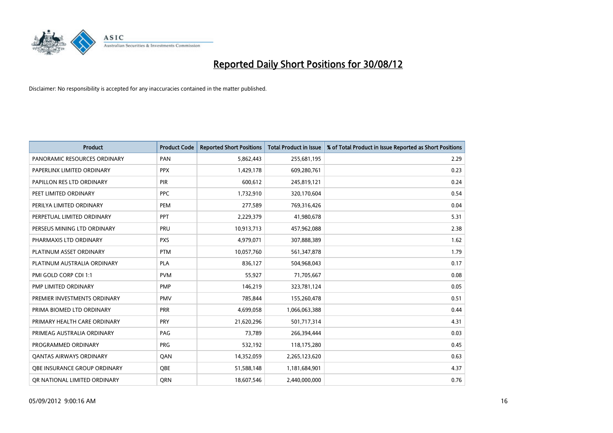

| <b>Product</b>                 | <b>Product Code</b> | <b>Reported Short Positions</b> | <b>Total Product in Issue</b> | % of Total Product in Issue Reported as Short Positions |
|--------------------------------|---------------------|---------------------------------|-------------------------------|---------------------------------------------------------|
| PANORAMIC RESOURCES ORDINARY   | PAN                 | 5,862,443                       | 255,681,195                   | 2.29                                                    |
| PAPERLINX LIMITED ORDINARY     | <b>PPX</b>          | 1,429,178                       | 609,280,761                   | 0.23                                                    |
| PAPILLON RES LTD ORDINARY      | <b>PIR</b>          | 600,612                         | 245,819,121                   | 0.24                                                    |
| PEET LIMITED ORDINARY          | <b>PPC</b>          | 1,732,910                       | 320,170,604                   | 0.54                                                    |
| PERILYA LIMITED ORDINARY       | PEM                 | 277,589                         | 769,316,426                   | 0.04                                                    |
| PERPETUAL LIMITED ORDINARY     | PPT                 | 2,229,379                       | 41,980,678                    | 5.31                                                    |
| PERSEUS MINING LTD ORDINARY    | <b>PRU</b>          | 10,913,713                      | 457,962,088                   | 2.38                                                    |
| PHARMAXIS LTD ORDINARY         | <b>PXS</b>          | 4,979,071                       | 307,888,389                   | 1.62                                                    |
| PLATINUM ASSET ORDINARY        | <b>PTM</b>          | 10,057,760                      | 561,347,878                   | 1.79                                                    |
| PLATINUM AUSTRALIA ORDINARY    | <b>PLA</b>          | 836,127                         | 504,968,043                   | 0.17                                                    |
| PMI GOLD CORP CDI 1:1          | <b>PVM</b>          | 55,927                          | 71,705,667                    | 0.08                                                    |
| PMP LIMITED ORDINARY           | <b>PMP</b>          | 146,219                         | 323,781,124                   | 0.05                                                    |
| PREMIER INVESTMENTS ORDINARY   | <b>PMV</b>          | 785,844                         | 155,260,478                   | 0.51                                                    |
| PRIMA BIOMED LTD ORDINARY      | <b>PRR</b>          | 4,699,058                       | 1,066,063,388                 | 0.44                                                    |
| PRIMARY HEALTH CARE ORDINARY   | PRY                 | 21,620,296                      | 501,717,314                   | 4.31                                                    |
| PRIMEAG AUSTRALIA ORDINARY     | PAG                 | 73,789                          | 266,394,444                   | 0.03                                                    |
| PROGRAMMED ORDINARY            | <b>PRG</b>          | 532,192                         | 118,175,280                   | 0.45                                                    |
| <b>QANTAS AIRWAYS ORDINARY</b> | QAN                 | 14,352,059                      | 2,265,123,620                 | 0.63                                                    |
| OBE INSURANCE GROUP ORDINARY   | <b>OBE</b>          | 51,588,148                      | 1,181,684,901                 | 4.37                                                    |
| OR NATIONAL LIMITED ORDINARY   | <b>ORN</b>          | 18,607,546                      | 2,440,000,000                 | 0.76                                                    |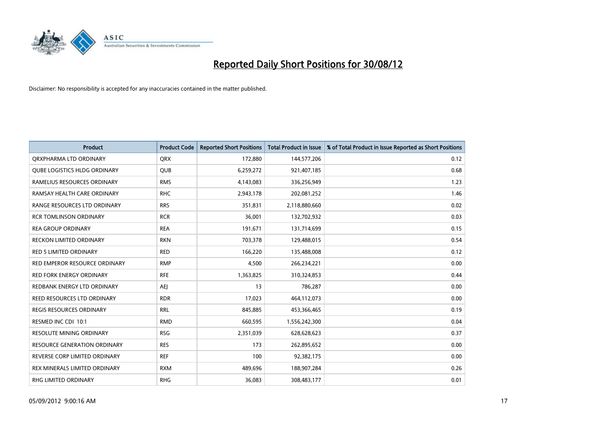

| <b>Product</b>                      | <b>Product Code</b> | <b>Reported Short Positions</b> | <b>Total Product in Issue</b> | % of Total Product in Issue Reported as Short Positions |
|-------------------------------------|---------------------|---------------------------------|-------------------------------|---------------------------------------------------------|
| ORXPHARMA LTD ORDINARY              | <b>QRX</b>          | 172,880                         | 144,577,206                   | 0.12                                                    |
| <b>QUBE LOGISTICS HLDG ORDINARY</b> | QUB                 | 6,259,272                       | 921,407,185                   | 0.68                                                    |
| RAMELIUS RESOURCES ORDINARY         | <b>RMS</b>          | 4,143,083                       | 336,256,949                   | 1.23                                                    |
| RAMSAY HEALTH CARE ORDINARY         | <b>RHC</b>          | 2,943,178                       | 202,081,252                   | 1.46                                                    |
| RANGE RESOURCES LTD ORDINARY        | <b>RRS</b>          | 351,831                         | 2,118,880,660                 | 0.02                                                    |
| <b>RCR TOMLINSON ORDINARY</b>       | <b>RCR</b>          | 36,001                          | 132,702,932                   | 0.03                                                    |
| <b>REA GROUP ORDINARY</b>           | <b>REA</b>          | 191,671                         | 131,714,699                   | 0.15                                                    |
| RECKON LIMITED ORDINARY             | <b>RKN</b>          | 703,378                         | 129,488,015                   | 0.54                                                    |
| <b>RED 5 LIMITED ORDINARY</b>       | <b>RED</b>          | 166,220                         | 135,488,008                   | 0.12                                                    |
| RED EMPEROR RESOURCE ORDINARY       | <b>RMP</b>          | 4,500                           | 266,234,221                   | 0.00                                                    |
| <b>RED FORK ENERGY ORDINARY</b>     | <b>RFE</b>          | 1,363,825                       | 310,324,853                   | 0.44                                                    |
| REDBANK ENERGY LTD ORDINARY         | AEI                 | 13                              | 786,287                       | 0.00                                                    |
| REED RESOURCES LTD ORDINARY         | <b>RDR</b>          | 17,023                          | 464,112,073                   | 0.00                                                    |
| <b>REGIS RESOURCES ORDINARY</b>     | <b>RRL</b>          | 845,885                         | 453,366,465                   | 0.19                                                    |
| RESMED INC CDI 10:1                 | <b>RMD</b>          | 660,595                         | 1,556,242,300                 | 0.04                                                    |
| <b>RESOLUTE MINING ORDINARY</b>     | <b>RSG</b>          | 2,351,039                       | 628,628,623                   | 0.37                                                    |
| RESOURCE GENERATION ORDINARY        | <b>RES</b>          | 173                             | 262,895,652                   | 0.00                                                    |
| REVERSE CORP LIMITED ORDINARY       | <b>REF</b>          | 100                             | 92,382,175                    | 0.00                                                    |
| REX MINERALS LIMITED ORDINARY       | <b>RXM</b>          | 489,696                         | 188,907,284                   | 0.26                                                    |
| RHG LIMITED ORDINARY                | <b>RHG</b>          | 36,083                          | 308,483,177                   | 0.01                                                    |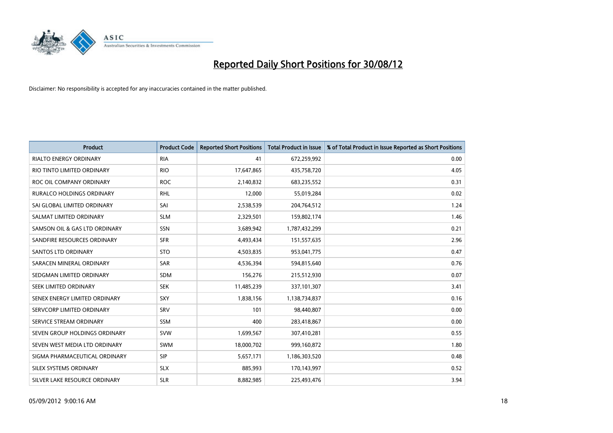

| <b>Product</b>                | <b>Product Code</b> | <b>Reported Short Positions</b> | <b>Total Product in Issue</b> | % of Total Product in Issue Reported as Short Positions |
|-------------------------------|---------------------|---------------------------------|-------------------------------|---------------------------------------------------------|
| <b>RIALTO ENERGY ORDINARY</b> | <b>RIA</b>          | 41                              | 672,259,992                   | 0.00                                                    |
| RIO TINTO LIMITED ORDINARY    | <b>RIO</b>          | 17,647,865                      | 435,758,720                   | 4.05                                                    |
| ROC OIL COMPANY ORDINARY      | <b>ROC</b>          | 2,140,832                       | 683,235,552                   | 0.31                                                    |
| RURALCO HOLDINGS ORDINARY     | <b>RHL</b>          | 12,000                          | 55,019,284                    | 0.02                                                    |
| SAI GLOBAL LIMITED ORDINARY   | SAI                 | 2,538,539                       | 204,764,512                   | 1.24                                                    |
| SALMAT LIMITED ORDINARY       | <b>SLM</b>          | 2,329,501                       | 159,802,174                   | 1.46                                                    |
| SAMSON OIL & GAS LTD ORDINARY | SSN                 | 3,689,942                       | 1,787,432,299                 | 0.21                                                    |
| SANDFIRE RESOURCES ORDINARY   | <b>SFR</b>          | 4,493,434                       | 151,557,635                   | 2.96                                                    |
| <b>SANTOS LTD ORDINARY</b>    | <b>STO</b>          | 4,503,835                       | 953,041,775                   | 0.47                                                    |
| SARACEN MINERAL ORDINARY      | SAR                 | 4,536,394                       | 594,815,640                   | 0.76                                                    |
| SEDGMAN LIMITED ORDINARY      | <b>SDM</b>          | 156,276                         | 215,512,930                   | 0.07                                                    |
| <b>SEEK LIMITED ORDINARY</b>  | <b>SEK</b>          | 11,485,239                      | 337,101,307                   | 3.41                                                    |
| SENEX ENERGY LIMITED ORDINARY | <b>SXY</b>          | 1,838,156                       | 1,138,734,837                 | 0.16                                                    |
| SERVCORP LIMITED ORDINARY     | SRV                 | 101                             | 98,440,807                    | 0.00                                                    |
| SERVICE STREAM ORDINARY       | <b>SSM</b>          | 400                             | 283,418,867                   | 0.00                                                    |
| SEVEN GROUP HOLDINGS ORDINARY | <b>SVW</b>          | 1,699,567                       | 307,410,281                   | 0.55                                                    |
| SEVEN WEST MEDIA LTD ORDINARY | <b>SWM</b>          | 18,000,702                      | 999,160,872                   | 1.80                                                    |
| SIGMA PHARMACEUTICAL ORDINARY | <b>SIP</b>          | 5,657,171                       | 1,186,303,520                 | 0.48                                                    |
| SILEX SYSTEMS ORDINARY        | <b>SLX</b>          | 885,993                         | 170,143,997                   | 0.52                                                    |
| SILVER LAKE RESOURCE ORDINARY | <b>SLR</b>          | 8.882.985                       | 225,493,476                   | 3.94                                                    |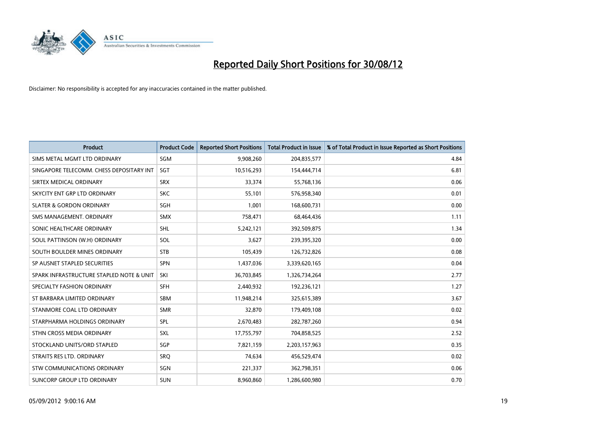

| <b>Product</b>                           | <b>Product Code</b> | <b>Reported Short Positions</b> | <b>Total Product in Issue</b> | % of Total Product in Issue Reported as Short Positions |
|------------------------------------------|---------------------|---------------------------------|-------------------------------|---------------------------------------------------------|
| SIMS METAL MGMT LTD ORDINARY             | SGM                 | 9,908,260                       | 204,835,577                   | 4.84                                                    |
| SINGAPORE TELECOMM. CHESS DEPOSITARY INT | <b>SGT</b>          | 10,516,293                      | 154,444,714                   | 6.81                                                    |
| SIRTEX MEDICAL ORDINARY                  | <b>SRX</b>          | 33,374                          | 55,768,136                    | 0.06                                                    |
| SKYCITY ENT GRP LTD ORDINARY             | <b>SKC</b>          | 55,101                          | 576,958,340                   | 0.01                                                    |
| <b>SLATER &amp; GORDON ORDINARY</b>      | <b>SGH</b>          | 1,001                           | 168,600,731                   | 0.00                                                    |
| SMS MANAGEMENT, ORDINARY                 | <b>SMX</b>          | 758,471                         | 68,464,436                    | 1.11                                                    |
| SONIC HEALTHCARE ORDINARY                | <b>SHL</b>          | 5,242,121                       | 392,509,875                   | 1.34                                                    |
| SOUL PATTINSON (W.H) ORDINARY            | SOL                 | 3,627                           | 239,395,320                   | 0.00                                                    |
| SOUTH BOULDER MINES ORDINARY             | <b>STB</b>          | 105,439                         | 126,732,826                   | 0.08                                                    |
| SP AUSNET STAPLED SECURITIES             | <b>SPN</b>          | 1,437,036                       | 3,339,620,165                 | 0.04                                                    |
| SPARK INFRASTRUCTURE STAPLED NOTE & UNIT | SKI                 | 36,703,845                      | 1,326,734,264                 | 2.77                                                    |
| SPECIALTY FASHION ORDINARY               | <b>SFH</b>          | 2,440,932                       | 192,236,121                   | 1.27                                                    |
| ST BARBARA LIMITED ORDINARY              | <b>SBM</b>          | 11,948,214                      | 325,615,389                   | 3.67                                                    |
| STANMORE COAL LTD ORDINARY               | <b>SMR</b>          | 32,870                          | 179,409,108                   | 0.02                                                    |
| STARPHARMA HOLDINGS ORDINARY             | SPL                 | 2,670,483                       | 282,787,260                   | 0.94                                                    |
| STHN CROSS MEDIA ORDINARY                | SXL                 | 17,755,797                      | 704,858,525                   | 2.52                                                    |
| STOCKLAND UNITS/ORD STAPLED              | SGP                 | 7,821,159                       | 2,203,157,963                 | 0.35                                                    |
| STRAITS RES LTD. ORDINARY                | SRQ                 | 74,634                          | 456,529,474                   | 0.02                                                    |
| STW COMMUNICATIONS ORDINARY              | SGN                 | 221,337                         | 362,798,351                   | 0.06                                                    |
| SUNCORP GROUP LTD ORDINARY               | <b>SUN</b>          | 8,960,860                       | 1,286,600,980                 | 0.70                                                    |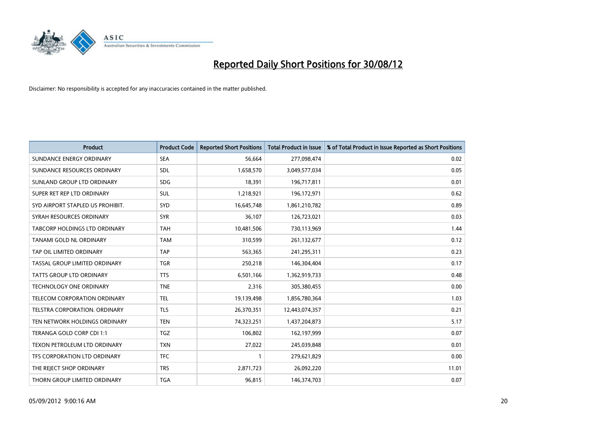

| <b>Product</b>                       | <b>Product Code</b> | <b>Reported Short Positions</b> | <b>Total Product in Issue</b> | % of Total Product in Issue Reported as Short Positions |
|--------------------------------------|---------------------|---------------------------------|-------------------------------|---------------------------------------------------------|
| SUNDANCE ENERGY ORDINARY             | <b>SEA</b>          | 56,664                          | 277,098,474                   | 0.02                                                    |
| SUNDANCE RESOURCES ORDINARY          | <b>SDL</b>          | 1,658,570                       | 3,049,577,034                 | 0.05                                                    |
| SUNLAND GROUP LTD ORDINARY           | <b>SDG</b>          | 18,391                          | 196,717,811                   | 0.01                                                    |
| SUPER RET REP LTD ORDINARY           | <b>SUL</b>          | 1,218,921                       | 196,172,971                   | 0.62                                                    |
| SYD AIRPORT STAPLED US PROHIBIT.     | <b>SYD</b>          | 16,645,748                      | 1,861,210,782                 | 0.89                                                    |
| SYRAH RESOURCES ORDINARY             | <b>SYR</b>          | 36,107                          | 126,723,021                   | 0.03                                                    |
| <b>TABCORP HOLDINGS LTD ORDINARY</b> | <b>TAH</b>          | 10,481,506                      | 730,113,969                   | 1.44                                                    |
| TANAMI GOLD NL ORDINARY              | <b>TAM</b>          | 310,599                         | 261,132,677                   | 0.12                                                    |
| TAP OIL LIMITED ORDINARY             | <b>TAP</b>          | 563,365                         | 241,295,311                   | 0.23                                                    |
| TASSAL GROUP LIMITED ORDINARY        | <b>TGR</b>          | 250,218                         | 146,304,404                   | 0.17                                                    |
| TATTS GROUP LTD ORDINARY             | <b>TTS</b>          | 6,501,166                       | 1,362,919,733                 | 0.48                                                    |
| TECHNOLOGY ONE ORDINARY              | <b>TNE</b>          | 2,316                           | 305,380,455                   | 0.00                                                    |
| <b>TELECOM CORPORATION ORDINARY</b>  | <b>TEL</b>          | 19,139,498                      | 1,856,780,364                 | 1.03                                                    |
| <b>TELSTRA CORPORATION, ORDINARY</b> | <b>TLS</b>          | 26,370,351                      | 12,443,074,357                | 0.21                                                    |
| TEN NETWORK HOLDINGS ORDINARY        | <b>TEN</b>          | 74,323,251                      | 1,437,204,873                 | 5.17                                                    |
| TERANGA GOLD CORP CDI 1:1            | <b>TGZ</b>          | 106,802                         | 162,197,999                   | 0.07                                                    |
| TEXON PETROLEUM LTD ORDINARY         | <b>TXN</b>          | 27,022                          | 245,039,848                   | 0.01                                                    |
| TFS CORPORATION LTD ORDINARY         | <b>TFC</b>          |                                 | 279,621,829                   | 0.00                                                    |
| THE REJECT SHOP ORDINARY             | <b>TRS</b>          | 2,871,723                       | 26,092,220                    | 11.01                                                   |
| THORN GROUP LIMITED ORDINARY         | <b>TGA</b>          | 96,815                          | 146,374,703                   | 0.07                                                    |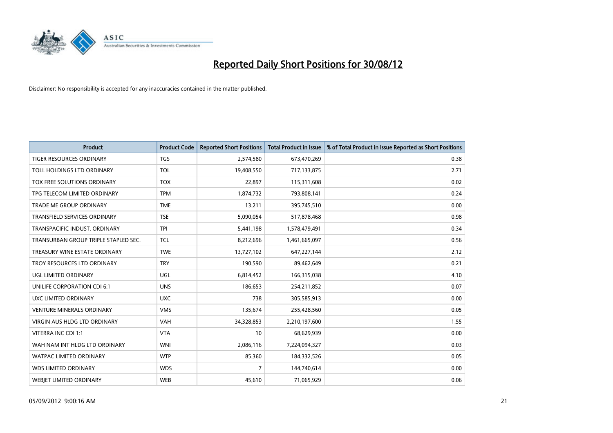

| <b>Product</b>                       | <b>Product Code</b> | <b>Reported Short Positions</b> | <b>Total Product in Issue</b> | % of Total Product in Issue Reported as Short Positions |
|--------------------------------------|---------------------|---------------------------------|-------------------------------|---------------------------------------------------------|
| <b>TIGER RESOURCES ORDINARY</b>      | <b>TGS</b>          | 2,574,580                       | 673,470,269                   | 0.38                                                    |
| TOLL HOLDINGS LTD ORDINARY           | <b>TOL</b>          | 19,408,550                      | 717,133,875                   | 2.71                                                    |
| TOX FREE SOLUTIONS ORDINARY          | <b>TOX</b>          | 22,897                          | 115,311,608                   | 0.02                                                    |
| TPG TELECOM LIMITED ORDINARY         | <b>TPM</b>          | 1,874,732                       | 793,808,141                   | 0.24                                                    |
| <b>TRADE ME GROUP ORDINARY</b>       | <b>TME</b>          | 13,211                          | 395,745,510                   | 0.00                                                    |
| <b>TRANSFIELD SERVICES ORDINARY</b>  | <b>TSE</b>          | 5,090,054                       | 517,878,468                   | 0.98                                                    |
| TRANSPACIFIC INDUST, ORDINARY        | <b>TPI</b>          | 5,441,198                       | 1,578,479,491                 | 0.34                                                    |
| TRANSURBAN GROUP TRIPLE STAPLED SEC. | <b>TCL</b>          | 8,212,696                       | 1,461,665,097                 | 0.56                                                    |
| TREASURY WINE ESTATE ORDINARY        | <b>TWE</b>          | 13,727,102                      | 647,227,144                   | 2.12                                                    |
| TROY RESOURCES LTD ORDINARY          | <b>TRY</b>          | 190,590                         | 89,462,649                    | 0.21                                                    |
| UGL LIMITED ORDINARY                 | UGL                 | 6,814,452                       | 166,315,038                   | 4.10                                                    |
| UNILIFE CORPORATION CDI 6:1          | <b>UNS</b>          | 186,653                         | 254,211,852                   | 0.07                                                    |
| UXC LIMITED ORDINARY                 | <b>UXC</b>          | 738                             | 305,585,913                   | 0.00                                                    |
| <b>VENTURE MINERALS ORDINARY</b>     | <b>VMS</b>          | 135,674                         | 255,428,560                   | 0.05                                                    |
| <b>VIRGIN AUS HLDG LTD ORDINARY</b>  | <b>VAH</b>          | 34,328,853                      | 2,210,197,600                 | 1.55                                                    |
| VITERRA INC CDI 1:1                  | <b>VTA</b>          | 10                              | 68,629,939                    | 0.00                                                    |
| WAH NAM INT HLDG LTD ORDINARY        | <b>WNI</b>          | 2,086,116                       | 7,224,094,327                 | 0.03                                                    |
| <b>WATPAC LIMITED ORDINARY</b>       | <b>WTP</b>          | 85,360                          | 184,332,526                   | 0.05                                                    |
| <b>WDS LIMITED ORDINARY</b>          | <b>WDS</b>          | $\overline{7}$                  | 144,740,614                   | 0.00                                                    |
| WEBJET LIMITED ORDINARY              | <b>WEB</b>          | 45,610                          | 71,065,929                    | 0.06                                                    |